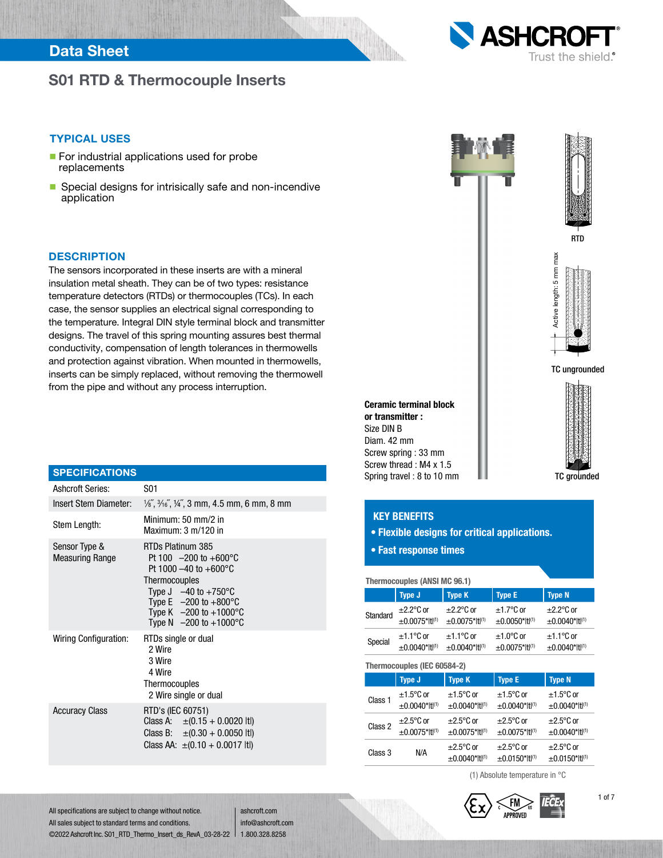## Data Sheet

## S01 RTD & Thermocouple Inserts



#### TYPICAL USES

- For industrial applications used for probe replacements
- **n** Special designs for intrisically safe and non-incendive application

#### **DESCRIPTION**

The sensors incorporated in these inserts are with a mineral insulation metal sheath. They can be of two types: resistance temperature detectors (RTDs) or thermocouples (TCs). In each case, the sensor supplies an electrical signal corresponding to the temperature. Integral DIN style terminal block and transmitter designs. The travel of this spring mounting assures best thermal conductivity, compensation of length tolerances in thermowells and protection against vibration. When mounted in thermowells, inserts can be simply replaced, without removing the thermowell from the pipe and without any process interruption.

| <b>SPECIFICATIONS</b>                   |                                                                                                                                                                                                                                                            |
|-----------------------------------------|------------------------------------------------------------------------------------------------------------------------------------------------------------------------------------------------------------------------------------------------------------|
| Ashcroft Series:                        | S01                                                                                                                                                                                                                                                        |
| Insert Stem Diameter:                   | $\frac{1}{6}$ , $\frac{3}{16}$ , $\frac{1}{4}$ , $\frac{3}{4}$ mm, 4.5 mm, 6 mm, 8 mm                                                                                                                                                                      |
| Stem Length:                            | Minimum: 50 mm/2 in<br>Maximum: $3 \text{ m}/120$ in                                                                                                                                                                                                       |
| Sensor Type &<br><b>Measuring Range</b> | RTDs Platinum 385<br>Pt 100 $-200$ to $+600^{\circ}$ C<br>Pt 1000 $-40$ to $+600^{\circ}$ C<br><b>Thermocouples</b><br>Type $J -40$ to $+750$ °C<br>Type E $-200$ to $+800^{\circ}$ C<br>Type K $-200$ to $+1000^{\circ}$ C<br>Type N $-200$ to $+1000$ °C |
| Wiring Configuration:                   | RTDs single or dual<br>2 Wire<br>3 Wire<br>4 Wire<br>Thermocouples<br>2 Wire single or dual                                                                                                                                                                |
| <b>Accuracy Class</b>                   | RTD's (IEC 60751)<br>Class A: $\pm (0.15 + 0.0020 \text{ lt})$<br>Class B: $\pm (0.30 + 0.0050 \text{ lt})$<br>Class AA: $\pm (0.10 + 0.0017 \text{ lt})$                                                                                                  |



#### KEY BENEFITS

- Flexible designs for critical applications.
- Fast response times

| Thermocouples (ANSI MC 96.1) |                     |                     |                     |                     |
|------------------------------|---------------------|---------------------|---------------------|---------------------|
|                              | <b>Type J</b>       | <b>Type E</b>       | <b>Type N</b>       |                     |
| Standard                     | $\pm 2.2$ °C or     | $\pm 2.2$ °C or     | $±1.7^{\circ}$ C or | $\pm 2.2$ °C or     |
|                              | $±0.0075* t ^{(1)}$ | $±0.0075*$ ttl(1)   | $±0.0050*$ ttl(1)   | $±0.0040* t ^{(1)}$ |
| Special                      | $±1.1^{\circ}$ C or | $±1.1^{\circ}$ C or | $\pm 1.0$ °C or     | $±1.1^{\circ}$ C or |
|                              | $±0.0040* t ^{(1)}$ | $±0.0040* t ^{(1)}$ | $±0.0075*$ ttl(1)   | $±0.0040* t ^{(1)}$ |

|  | Thermocouples (IEC 60584-2) |                                          |                                        |                                       |                                            |
|--|-----------------------------|------------------------------------------|----------------------------------------|---------------------------------------|--------------------------------------------|
|  |                             | <b>Type J</b>                            | <b>Type K</b>                          | <b>Type E</b>                         | <b>Type N</b>                              |
|  | Class 1                     | $±1.5^{\circ}$ C or<br>$±0.0040*$ ttl(1) | $±1.5^{\circ}$ C or<br>$±0.0040*11(1)$ | $\pm$ 1.5°C or<br>$±0.0040* t ^{(1)}$ | $±1.5^{\circ}$ C or<br>$±0.0040* t ^{(1)}$ |
|  | Class 2                     | $\pm 2.5$ °C or<br>$±0.0075*$ ttl(1)     | $\pm 2.5$ °C or<br>$±0.0075*11^{(1)}$  | $\pm 2.5$ °C or<br>$±0.0075*$ ttl(1)  | $\pm 2.5$ °C or<br>$±0.0040* t ^{(1)}$     |
|  | Class 3                     | N/A                                      | $\pm 2.5$ °C or<br>$±0.0040* t ^{(1)}$ | $\pm 2.5$ °C or<br>$±0.0150*$ ttl(1)  | $\pm 2.5$ °C or<br>$±0.0150*$ tt(1)        |

(1) Absolute temperature in °C





All specifications are subject to change without notice. All sales subject to standard terms and conditions. ©2022 Ashcroft Inc. S01\_RTD\_Thermo\_Insert\_ds\_RevA\_03-28-22 1.800.328.8258

ashcroft.com info@ashcroft.com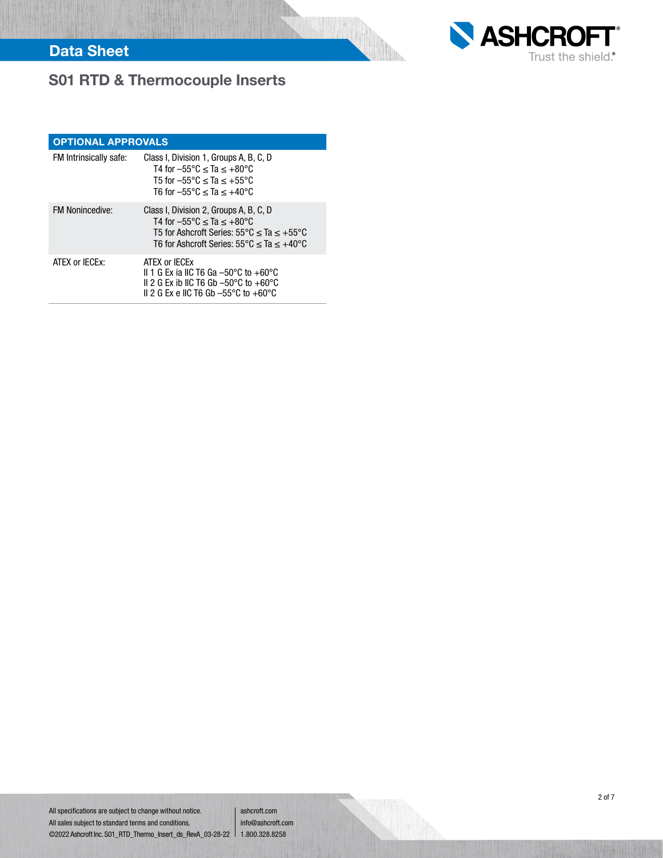

# S01 RTD & Thermocouple Inserts

| <b>OPTIONAL APPROVALS</b> |                                                                                                                                                                                                                           |  |  |  |  |  |  |  |
|---------------------------|---------------------------------------------------------------------------------------------------------------------------------------------------------------------------------------------------------------------------|--|--|--|--|--|--|--|
| FM Intrinsically safe:    | Class I, Division 1, Groups A, B, C, D<br>T4 for $-55^{\circ}$ C $\leq$ Ta $\leq$ +80 $^{\circ}$ C<br>T5 for $-55^{\circ}$ C < Ta < $+55^{\circ}$ C<br>T6 for $-55^{\circ}$ C $\leq$ Ta $\leq$ +40 $^{\circ}$ C           |  |  |  |  |  |  |  |
| <b>FM Nonincedive:</b>    | Class I, Division 2, Groups A, B, C, D<br>T4 for $-55^{\circ}$ C < Ta < $+80^{\circ}$ C<br>T5 for Ashcroft Series: $55^{\circ}$ C < Ta < $+55^{\circ}$ C<br>T6 for Ashcroft Series: $55^{\circ}$ C < Ta < $+40^{\circ}$ C |  |  |  |  |  |  |  |
| ATEX or IECEX:            | ATEX or IECEX<br>II 1 G Ex ia IIC T6 Ga $-50^{\circ}$ C to $+60^{\circ}$ C<br>II 2 G Ex ib IIC T6 Gb $-50^{\circ}$ C to $+60^{\circ}$ C<br>II 2 G Ex e IIC T6 Gb $-55^{\circ}$ C to $+60^{\circ}$ C                       |  |  |  |  |  |  |  |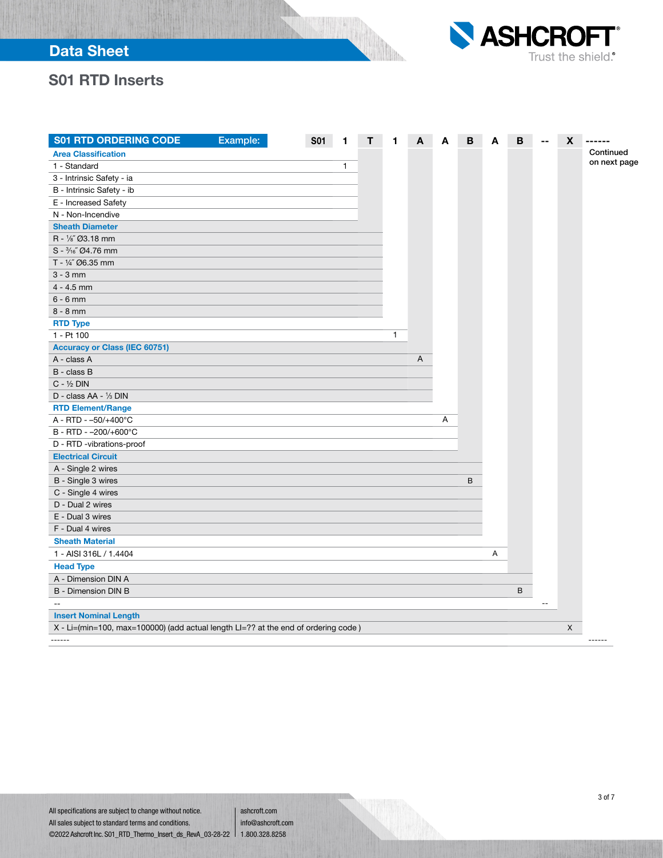

## S01 RTD Inserts

| <b>S01 RTD ORDERING CODE</b>                                                       | Example: | <b>S01</b> |   |              | A | Α | В | A | B | X | ------       |
|------------------------------------------------------------------------------------|----------|------------|---|--------------|---|---|---|---|---|---|--------------|
| <b>Area Classification</b>                                                         |          |            |   |              |   |   |   |   |   |   | Continued    |
| 1 - Standard                                                                       |          |            | 1 |              |   |   |   |   |   |   | on next page |
| 3 - Intrinsic Safety - ia                                                          |          |            |   |              |   |   |   |   |   |   |              |
| B - Intrinsic Safety - ib                                                          |          |            |   |              |   |   |   |   |   |   |              |
| E - Increased Safety                                                               |          |            |   |              |   |   |   |   |   |   |              |
| N - Non-Incendive                                                                  |          |            |   |              |   |   |   |   |   |   |              |
| <b>Sheath Diameter</b>                                                             |          |            |   |              |   |   |   |   |   |   |              |
| R - 1/8" Ø3.18 mm                                                                  |          |            |   |              |   |   |   |   |   |   |              |
| $S - \frac{3}{16}$ $O4.76$ mm                                                      |          |            |   |              |   |   |   |   |   |   |              |
| T - 1/4" Ø6.35 mm                                                                  |          |            |   |              |   |   |   |   |   |   |              |
| $3 - 3$ mm                                                                         |          |            |   |              |   |   |   |   |   |   |              |
| $4 - 4.5$ mm                                                                       |          |            |   |              |   |   |   |   |   |   |              |
| $6 - 6$ mm                                                                         |          |            |   |              |   |   |   |   |   |   |              |
| $8 - 8$ mm                                                                         |          |            |   |              |   |   |   |   |   |   |              |
| <b>RTD Type</b>                                                                    |          |            |   |              |   |   |   |   |   |   |              |
| 1 - Pt 100                                                                         |          |            |   | $\mathbf{1}$ |   |   |   |   |   |   |              |
| <b>Accuracy or Class (IEC 60751)</b>                                               |          |            |   |              |   |   |   |   |   |   |              |
| A - class A                                                                        |          |            |   |              | Α |   |   |   |   |   |              |
| B - class B                                                                        |          |            |   |              |   |   |   |   |   |   |              |
| $C - \frac{1}{2}$ DIN                                                              |          |            |   |              |   |   |   |   |   |   |              |
| D - class AA - 1/3 DIN                                                             |          |            |   |              |   |   |   |   |   |   |              |
| <b>RTD Element/Range</b>                                                           |          |            |   |              |   |   |   |   |   |   |              |
| A - RTD - -50/+400°C                                                               |          |            |   |              |   | Α |   |   |   |   |              |
| B - RTD - -200/+600°C                                                              |          |            |   |              |   |   |   |   |   |   |              |
| D - RTD -vibrations-proof                                                          |          |            |   |              |   |   |   |   |   |   |              |
| <b>Electrical Circuit</b>                                                          |          |            |   |              |   |   |   |   |   |   |              |
| A - Single 2 wires                                                                 |          |            |   |              |   |   |   |   |   |   |              |
| B - Single 3 wires                                                                 |          |            |   |              |   |   | B |   |   |   |              |
| C - Single 4 wires                                                                 |          |            |   |              |   |   |   |   |   |   |              |
| D - Dual 2 wires                                                                   |          |            |   |              |   |   |   |   |   |   |              |
| E - Dual 3 wires                                                                   |          |            |   |              |   |   |   |   |   |   |              |
| F - Dual 4 wires                                                                   |          |            |   |              |   |   |   |   |   |   |              |
| <b>Sheath Material</b>                                                             |          |            |   |              |   |   |   |   |   |   |              |
| 1 - AISI 316L / 1.4404                                                             |          |            |   |              |   |   |   | Α |   |   |              |
| <b>Head Type</b>                                                                   |          |            |   |              |   |   |   |   |   |   |              |
| A - Dimension DIN A                                                                |          |            |   |              |   |   |   |   |   |   |              |
| B - Dimension DIN B                                                                |          |            |   |              |   |   |   |   | B |   |              |
| $-$                                                                                |          |            |   |              |   |   |   |   |   |   |              |
| <b>Insert Nominal Length</b>                                                       |          |            |   |              |   |   |   |   |   |   |              |
| X - Li=(min=100, max=100000) (add actual length LI=?? at the end of ordering code) |          |            |   |              |   |   |   |   |   | X |              |
| $- - - - - -$                                                                      |          |            |   |              |   |   |   |   |   |   | ------       |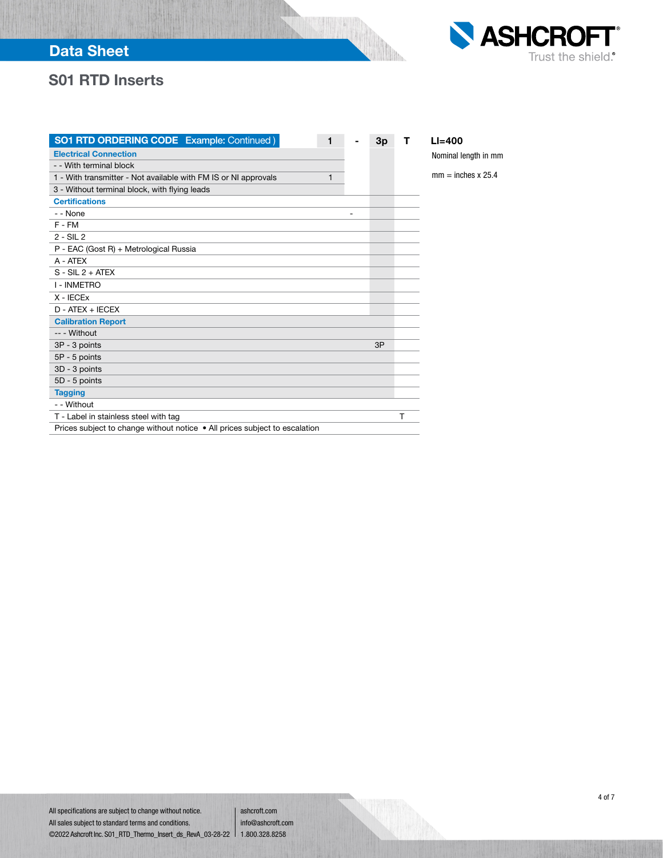## Data Sheet



## S01 RTD Inserts

| <b>SO1 RTD ORDERING CODE</b> Example: Continued )                          | 1 | 3p | т | $L = 400$                 |
|----------------------------------------------------------------------------|---|----|---|---------------------------|
| <b>Electrical Connection</b>                                               |   |    |   | Nominal length in mm      |
| - - With terminal block                                                    |   |    |   |                           |
| 1 - With transmitter - Not available with FM IS or NI approvals            | 1 |    |   | $mm = inches \times 25.4$ |
| 3 - Without terminal block, with flying leads                              |   |    |   |                           |
| <b>Certifications</b>                                                      |   |    |   |                           |
| - - None                                                                   |   |    |   |                           |
| F-FM                                                                       |   |    |   |                           |
| $2 - SL2$                                                                  |   |    |   |                           |
| P - EAC (Gost R) + Metrological Russia                                     |   |    |   |                           |
| A - ATEX                                                                   |   |    |   |                           |
| $S - SIL 2 + ATER$                                                         |   |    |   |                           |
| <b>I - INMETRO</b>                                                         |   |    |   |                           |
| $X - IECEx$                                                                |   |    |   |                           |
| D - ATEX + IECEX                                                           |   |    |   |                           |
| <b>Calibration Report</b>                                                  |   |    |   |                           |
| -- - Without                                                               |   |    |   |                           |
| 3P - 3 points                                                              |   | 3P |   |                           |
| 5P - 5 points                                                              |   |    |   |                           |
| 3D - 3 points                                                              |   |    |   |                           |
| 5D - 5 points                                                              |   |    |   |                           |
| <b>Tagging</b>                                                             |   |    |   |                           |
| - - Without                                                                |   |    |   |                           |
| T - Label in stainless steel with tag                                      |   |    | т |                           |
| Prices subject to change without notice • All prices subject to escalation |   |    |   |                           |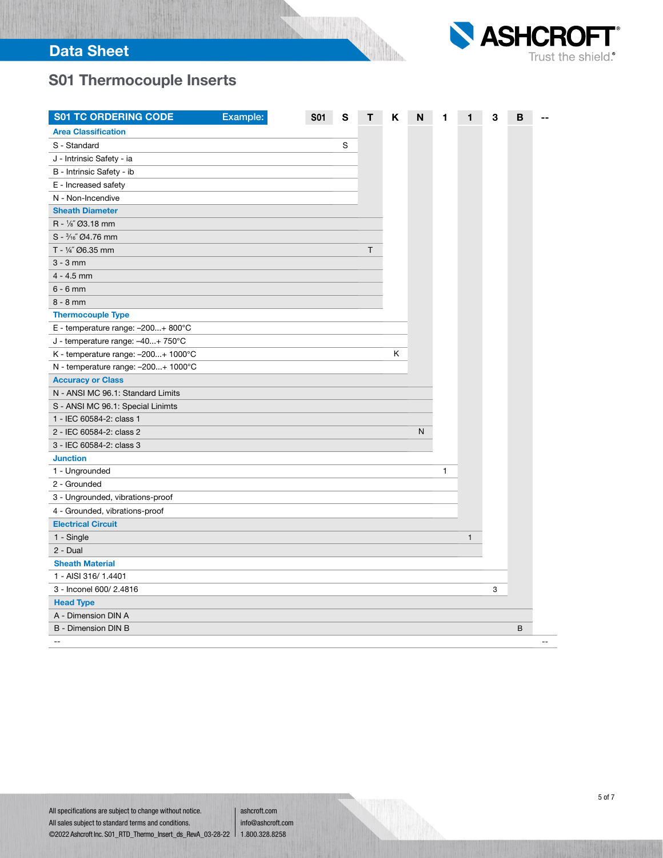

# S01 Thermocouple Inserts

| <b>S01 TC ORDERING CODE</b>         | Example: | <b>S01</b> | S |   | Κ | N |              | 1 | 3 | в |  |
|-------------------------------------|----------|------------|---|---|---|---|--------------|---|---|---|--|
| <b>Area Classification</b>          |          |            |   |   |   |   |              |   |   |   |  |
| S - Standard                        |          |            | S |   |   |   |              |   |   |   |  |
| J - Intrinsic Safety - ia           |          |            |   |   |   |   |              |   |   |   |  |
| B - Intrinsic Safety - ib           |          |            |   |   |   |   |              |   |   |   |  |
| E - Increased safety                |          |            |   |   |   |   |              |   |   |   |  |
| N - Non-Incendive                   |          |            |   |   |   |   |              |   |   |   |  |
| <b>Sheath Diameter</b>              |          |            |   |   |   |   |              |   |   |   |  |
| R - 1/8" Ø3.18 mm                   |          |            |   |   |   |   |              |   |   |   |  |
| S - 3/16" Ø4.76 mm                  |          |            |   |   |   |   |              |   |   |   |  |
| T - 1/4" Ø6.35 mm                   |          |            |   | T |   |   |              |   |   |   |  |
| $3 - 3$ mm                          |          |            |   |   |   |   |              |   |   |   |  |
| $4 - 4.5$ mm                        |          |            |   |   |   |   |              |   |   |   |  |
| $6 - 6$ mm                          |          |            |   |   |   |   |              |   |   |   |  |
| $8 - 8$ mm                          |          |            |   |   |   |   |              |   |   |   |  |
| <b>Thermocouple Type</b>            |          |            |   |   |   |   |              |   |   |   |  |
| E - temperature range: -200+ 800°C  |          |            |   |   |   |   |              |   |   |   |  |
| J - temperature range: -40+ 750°C   |          |            |   |   |   |   |              |   |   |   |  |
| K - temperature range: -200+ 1000°C |          |            |   |   | Κ |   |              |   |   |   |  |
| N - temperature range: -200+ 1000°C |          |            |   |   |   |   |              |   |   |   |  |
| <b>Accuracy or Class</b>            |          |            |   |   |   |   |              |   |   |   |  |
| N - ANSI MC 96.1: Standard Limits   |          |            |   |   |   |   |              |   |   |   |  |
| S - ANSI MC 96.1: Special Linimts   |          |            |   |   |   |   |              |   |   |   |  |
| 1 - IEC 60584-2: class 1            |          |            |   |   |   |   |              |   |   |   |  |
| 2 - IEC 60584-2: class 2            |          |            |   |   |   | N |              |   |   |   |  |
| 3 - IEC 60584-2: class 3            |          |            |   |   |   |   |              |   |   |   |  |
| <b>Junction</b>                     |          |            |   |   |   |   |              |   |   |   |  |
| 1 - Ungrounded                      |          |            |   |   |   |   | $\mathbf{1}$ |   |   |   |  |
| 2 - Grounded                        |          |            |   |   |   |   |              |   |   |   |  |
| 3 - Ungrounded, vibrations-proof    |          |            |   |   |   |   |              |   |   |   |  |
| 4 - Grounded, vibrations-proof      |          |            |   |   |   |   |              |   |   |   |  |
| <b>Electrical Circuit</b>           |          |            |   |   |   |   |              |   |   |   |  |
| 1 - Single                          |          |            |   |   |   |   |              | 1 |   |   |  |
| $2$ - Dual                          |          |            |   |   |   |   |              |   |   |   |  |
| <b>Sheath Material</b>              |          |            |   |   |   |   |              |   |   |   |  |
| 1 - AISI 316/1.4401                 |          |            |   |   |   |   |              |   |   |   |  |
| 3 - Inconel 600/ 2.4816             |          |            |   |   |   |   |              |   | 3 |   |  |
| <b>Head Type</b>                    |          |            |   |   |   |   |              |   |   |   |  |
| A - Dimension DIN A                 |          |            |   |   |   |   |              |   |   |   |  |
| <b>B</b> - Dimension DIN B          |          |            |   |   |   |   |              |   |   | B |  |
| $-$                                 |          |            |   |   |   |   |              |   |   |   |  |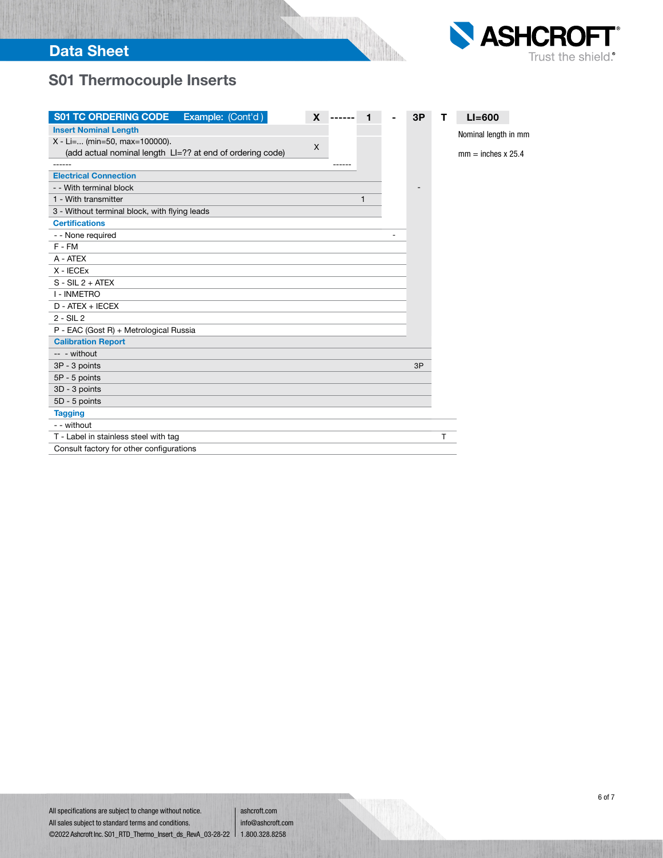

# S01 Thermocouple Inserts

| <b>S01 TC ORDERING CODE</b><br>Example: (Cont'd)          | X |   | 3P | т | $LI = 600$                |
|-----------------------------------------------------------|---|---|----|---|---------------------------|
| <b>Insert Nominal Length</b>                              |   |   |    |   | Nominal length in mm      |
| X - Li= (min=50, max=100000).                             | X |   |    |   |                           |
| (add actual nominal length LI=?? at end of ordering code) |   |   |    |   | $mm = inches \times 25.4$ |
|                                                           |   |   |    |   |                           |
| <b>Electrical Connection</b>                              |   |   |    |   |                           |
| - - With terminal block                                   |   |   |    |   |                           |
| 1 - With transmitter                                      |   | 1 |    |   |                           |
| 3 - Without terminal block, with flying leads             |   |   |    |   |                           |
| <b>Certifications</b>                                     |   |   |    |   |                           |
| - - None required                                         |   |   |    |   |                           |
| $F - FM$                                                  |   |   |    |   |                           |
| A - ATEX                                                  |   |   |    |   |                           |
| $X - IECEx$                                               |   |   |    |   |                           |
| $S - SIL2 + ATEX$                                         |   |   |    |   |                           |
| <b>I - INMETRO</b>                                        |   |   |    |   |                           |
| D - ATEX + IECEX                                          |   |   |    |   |                           |
| $2 - SIL2$                                                |   |   |    |   |                           |
| P - EAC (Gost R) + Metrological Russia                    |   |   |    |   |                           |
| <b>Calibration Report</b>                                 |   |   |    |   |                           |
| -- - without                                              |   |   |    |   |                           |
| 3P - 3 points                                             |   |   | 3P |   |                           |
| 5P - 5 points                                             |   |   |    |   |                           |
| 3D - 3 points                                             |   |   |    |   |                           |
| 5D - 5 points                                             |   |   |    |   |                           |
| <b>Tagging</b>                                            |   |   |    |   |                           |
| - - without                                               |   |   |    |   |                           |
| T - Label in stainless steel with tag                     |   |   |    | т |                           |
| Consult factory for other configurations                  |   |   |    |   |                           |